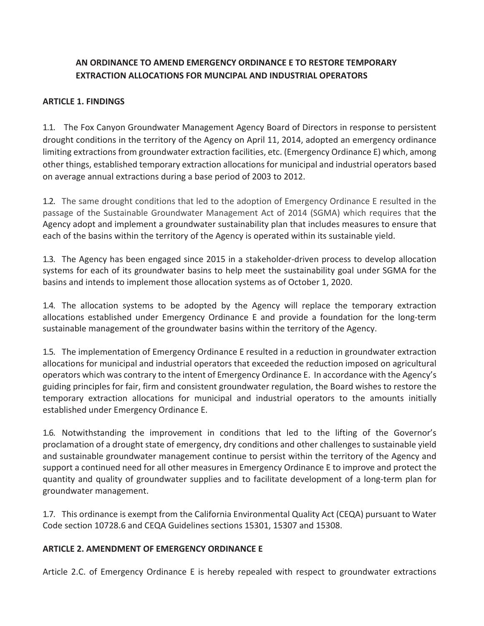## **AN ORDINANCE TO AMEND EMERGENCY ORDINANCE E TO RESTORE TEMPORARY EXTRACTION ALLOCATIONS FOR MUNCIPAL AND INDUSTRIAL OPERATORS**

## **ARTICLE 1. FINDINGS**

1.1. The Fox Canyon Groundwater Management Agency Board of Directors in response to persistent drought conditions in the territory of the Agency on April 11, 2014, adopted an emergency ordinance limiting extractions from groundwater extraction facilities, etc. (Emergency Ordinance E) which, among other things, established temporary extraction allocations for municipal and industrial operators based on average annual extractions during a base period of 2003 to 2012.

1.2. The same drought conditions that led to the adoption of Emergency Ordinance E resulted in the passage of the Sustainable Groundwater Management Act of 2014 (SGMA) which requires that the Agency adopt and implement a groundwater sustainability plan that includes measures to ensure that each of the basins within the territory of the Agency is operated within its sustainable yield.

1.3. The Agency has been engaged since 2015 in a stakeholder-driven process to develop allocation systems for each of its groundwater basins to help meet the sustainability goal under SGMA for the basins and intends to implement those allocation systems as of October 1, 2020.

1.4. The allocation systems to be adopted by the Agency will replace the temporary extraction allocations established under Emergency Ordinance E and provide a foundation for the long-term sustainable management of the groundwater basins within the territory of the Agency.

1.5. The implementation of Emergency Ordinance E resulted in a reduction in groundwater extraction allocations for municipal and industrial operators that exceeded the reduction imposed on agricultural operators which was contrary to the intent of Emergency Ordinance E. In accordance with the Agency's guiding principles for fair, firm and consistent groundwater regulation, the Board wishes to restore the temporary extraction allocations for municipal and industrial operators to the amounts initially established under Emergency Ordinance E.

1.6. Notwithstanding the improvement in conditions that led to the lifting of the Governor's proclamation of a drought state of emergency, dry conditions and other challenges to sustainable yield and sustainable groundwater management continue to persist within the territory of the Agency and support a continued need for all other measures in Emergency Ordinance E to improve and protect the quantity and quality of groundwater supplies and to facilitate development of a long-term plan for groundwater management.

1.7. This ordinance is exempt from the California Environmental Quality Act (CEQA) pursuant to Water Code section 10728.6 and CEQA Guidelines sections 15301, 15307 and 15308.

## **ARTICLE 2. AMENDMENT OF EMERGENCY ORDINANCE E**

Article 2.C. of Emergency Ordinance E is hereby repealed with respect to groundwater extractions